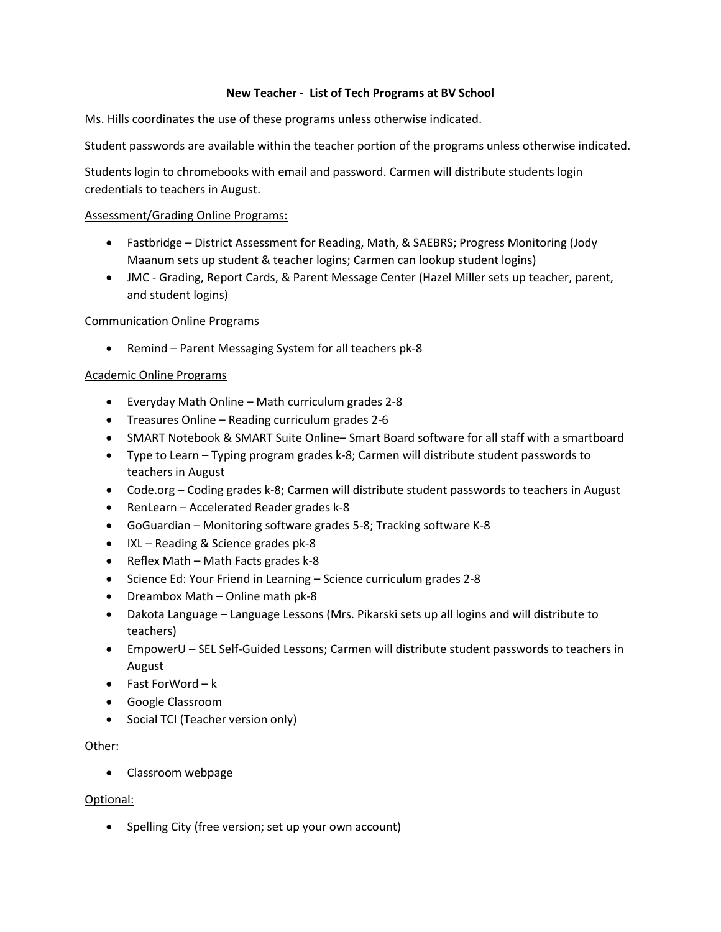# **New Teacher - List of Tech Programs at BV School**

Ms. Hills coordinates the use of these programs unless otherwise indicated.

Student passwords are available within the teacher portion of the programs unless otherwise indicated.

Students login to chromebooks with email and password. Carmen will distribute students login credentials to teachers in August.

### Assessment/Grading Online Programs:

- Fastbridge District Assessment for Reading, Math, & SAEBRS; Progress Monitoring (Jody Maanum sets up student & teacher logins; Carmen can lookup student logins)
- JMC Grading, Report Cards, & Parent Message Center (Hazel Miller sets up teacher, parent, and student logins)

# Communication Online Programs

• Remind – Parent Messaging System for all teachers pk-8

# Academic Online Programs

- Everyday Math Online Math curriculum grades 2-8
- Treasures Online Reading curriculum grades 2-6
- SMART Notebook & SMART Suite Online– Smart Board software for all staff with a smartboard
- Type to Learn Typing program grades k-8; Carmen will distribute student passwords to teachers in August
- Code.org Coding grades k-8; Carmen will distribute student passwords to teachers in August
- RenLearn Accelerated Reader grades k-8
- GoGuardian Monitoring software grades 5-8; Tracking software K-8
- IXL Reading & Science grades pk-8
- Reflex Math Math Facts grades k-8
- Science Ed: Your Friend in Learning Science curriculum grades 2-8
- Dreambox Math Online math pk-8
- Dakota Language Language Lessons (Mrs. Pikarski sets up all logins and will distribute to teachers)
- EmpowerU SEL Self-Guided Lessons; Carmen will distribute student passwords to teachers in August
- Fast ForWord k
- Google Classroom
- Social TCI (Teacher version only)

#### Other:

• Classroom webpage

#### Optional:

• Spelling City (free version; set up your own account)